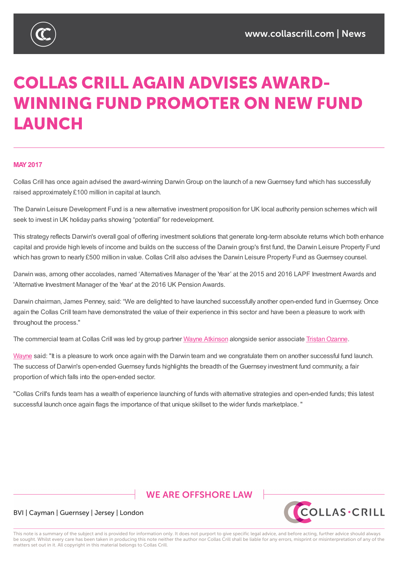

# **COLLAS CRILL AGAIN ADVISES AWARD-WINNING FUND PROMOTER ON NEW FUND LAUNCH**

#### **MAY2017**

Collas Crill has once again advised the award-winning Darwin Group on the launch of a new Guernsey fund which has successfully raised approximately £100 million in capital at launch.

The Darwin Leisure Development Fund is a new alternative investment proposition for UK local authority pension schemes which will seek to invest in UK holiday parks showing "potential" for redevelopment.

This strategy reflects Darwin's overall goal of offering investment solutions that generate long-term absolute returns which both enhance capital and provide high levels of income and builds on the success of the Darwin group's first fund, the Darwin Leisure Property Fund which has grown to nearly £500 million in value. Collas Crill also advises the Darwin Leisure Property Fund as Guernsey counsel.

Darwin was, among other accolades, named 'Alternatives Manager of the Year' at the 2015 and 2016 LAPF Investment Awards and 'Alternative Investment Manager of the Year' at the 2016 UK Pension Awards.

Darwin chairman, James Penney, said: "We are delighted to have launched successfully another open-ended fund inGuernsey. Once again the Collas Crill team have demonstrated the value of their experience in this sector and have been a pleasure to work with throughout the process."

The commercial team at Collas Crill was led by group partner Wayne Atkinson alongside senior associate Tristan Ozanne.

Wayne said: "It is a pleasure to work once again with the Darwin team and we congratulate them on another successful fund launch. The success of Darwin's open-ended Guernsey funds highlights the [breadth](https://www.collascrill.com/who-we-are/a/wayne-atkinson/) of the Guernsey investment fund [community,](https://www.collascrill.com/who-we-are/o/tristan-ozanne/) a fair proportion of which falls into the open-ended sector.

["Collas](https://www.collascrill.com/who-we-are/a/wayne-atkinson/) Crill's funds team has a wealth of experience launching of funds with alternative strategies and open-ended funds; this latest successful launch once again flags the importance of that unique skillset to the wider funds marketplace. "

### **WE ARE OFFSHORE LAW**



#### BVI | Cayman | Guernsey | Jersey | London

This note is a summary of the subject and is provided for information only. It does not purport to give specific legal advice, and before acting, further advice should always be sought. Whilst every care has been taken in producing this note neither the author nor Collas Crill shall be liable for any errors, misprint or misinterpretation of any of the matters set out in it. All copyright in this material belongs to Collas Crill.